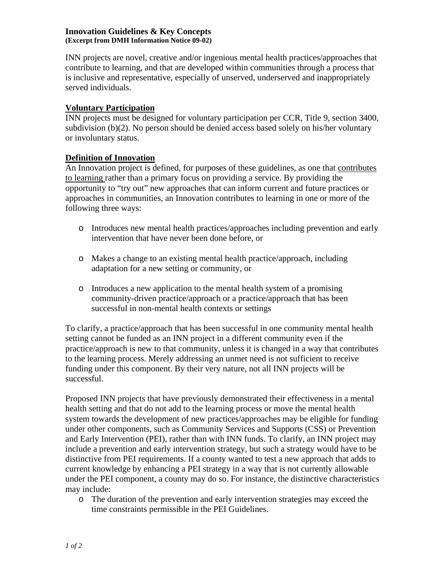### **Innovation Guidelines & Key Concepts (Excerpt from DMH Information Notice 09-02)**

INN projects are novel, creative and/or ingenious mental health practices/approaches that contribute to learning, and that are developed within communities through a process that is inclusive and representative, especially of unserved, underserved and inappropriately served individuals.

# **Voluntary Participation**

INN projects must be designed for voluntary participation per CCR, Title 9, section 3400, subdivision (b)(2). No person should be denied access based solely on his/her voluntary or involuntary status.

## **Definition of Innovation**

An Innovation project is defined, for purposes of these guidelines, as one that contributes to learning rather than a primary focus on providing a service. By providing the opportunity to "try out" new approaches that can inform current and future practices or approaches in communities, an Innovation contributes to learning in one or more of the following three ways:

- o Introduces new mental health practices/approaches including prevention and early intervention that have never been done before, or
- o Makes a change to an existing mental health practice/approach, including adaptation for a new setting or community, or
- o Introduces a new application to the mental health system of a promising community-driven practice/approach or a practice/approach that has been successful in non-mental health contexts or settings

To clarify, a practice/approach that has been successful in one community mental health setting cannot be funded as an INN project in a different community even if the practice/approach is new to that community, unless it is changed in a way that contributes to the learning process. Merely addressing an unmet need is not sufficient to receive funding under this component. By their very nature, not all INN projects will be successful.

Proposed INN projects that have previously demonstrated their effectiveness in a mental health setting and that do not add to the learning process or move the mental health system towards the development of new practices/approaches may be eligible for funding under other components, such as Community Services and Supports (CSS) or Prevention and Early Intervention (PEI), rather than with INN funds. To clarify, an INN project may include a prevention and early intervention strategy, but such a strategy would have to be distinctive from PEI requirements. If a county wanted to test a new approach that adds to current knowledge by enhancing a PEI strategy in a way that is not currently allowable under the PEI component, a county may do so. For instance, the distinctive characteristics may include:

o The duration of the prevention and early intervention strategies may exceed the time constraints permissible in the PEI Guidelines.